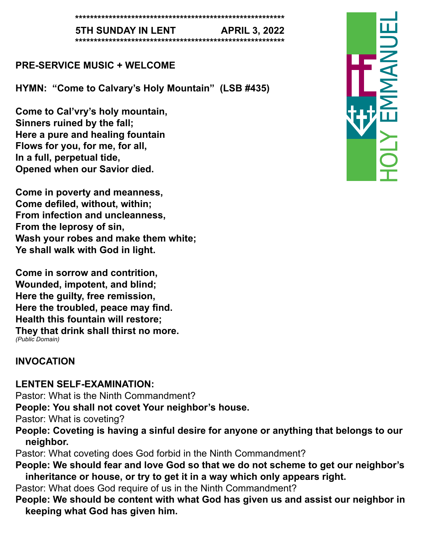**5TH SUNDAY IN LENT APRIL 3, 2022 \*\*\*\*\*\*\*\*\*\*\*\*\*\*\*\*\*\*\*\*\*\*\*\*\*\*\*\*\*\*\*\*\*\*\*\*\*\*\*\*\*\*\*\*\*\*\*\*\*\*\*\*\*\*\*\***

#### **PRE-SERVICE MUSIC + WELCOME**

**HYMN: "Come to Calvary's Holy Mountain" (LSB #435)**

**Come to Cal'vry's holy mountain, Sinners ruined by the fall; Here a pure and healing fountain Flows for you, for me, for all, In a full, perpetual tide, Opened when our Savior died.**

**Come in poverty and meanness, Come defiled, without, within; From infection and uncleanness, From the leprosy of sin, Wash your robes and make them white; Ye shall walk with God in light.**

**Come in sorrow and contrition, Wounded, impotent, and blind; Here the guilty, free remission, Here the troubled, peace may find. Health this fountain will restore; They that drink shall thirst no more.** *(Public Domain)*

#### **INVOCATION**

#### **LENTEN SELF-EXAMINATION:**

Pastor: What is the Ninth Commandment?

**People: You shall not covet Your neighbor's house.**

Pastor: What is coveting?

**People: Coveting is having a sinful desire for anyone or anything that belongs to our neighbor.** 

Pastor: What coveting does God forbid in the Ninth Commandment?

**People: We should fear and love God so that we do not scheme to get our neighbor's inheritance or house, or try to get it in a way which only appears right.** 

Pastor: What does God require of us in the Ninth Commandment?

**People: We should be content with what God has given us and assist our neighbor in keeping what God has given him.**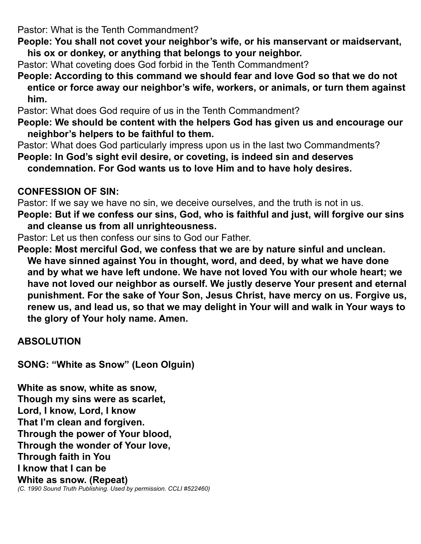Pastor: What is the Tenth Commandment?

- **People: You shall not covet your neighbor's wife, or his manservant or maidservant, his ox or donkey, or anything that belongs to your neighbor.**
- Pastor: What coveting does God forbid in the Tenth Commandment?
- **People: According to this command we should fear and love God so that we do not entice or force away our neighbor's wife, workers, or animals, or turn them against him.**
- Pastor: What does God require of us in the Tenth Commandment?
- **People: We should be content with the helpers God has given us and encourage our neighbor's helpers to be faithful to them.**
- Pastor: What does God particularly impress upon us in the last two Commandments?
- **People: In God's sight evil desire, or coveting, is indeed sin and deserves condemnation. For God wants us to love Him and to have holy desires.**

## **CONFESSION OF SIN:**

Pastor: If we say we have no sin, we deceive ourselves, and the truth is not in us.

**People: But if we confess our sins, God, who is faithful and just, will forgive our sins and cleanse us from all unrighteousness.**

Pastor: Let us then confess our sins to God our Father.

**People: Most merciful God, we confess that we are by nature sinful and unclean. We have sinned against You in thought, word, and deed, by what we have done and by what we have left undone. We have not loved You with our whole heart; we have not loved our neighbor as ourself. We justly deserve Your present and eternal punishment. For the sake of Your Son, Jesus Christ, have mercy on us. Forgive us, renew us, and lead us, so that we may delight in Your will and walk in Your ways to the glory of Your holy name. Amen.** 

## **ABSOLUTION**

**SONG: "White as Snow" (Leon Olguin)**

**White as snow, white as snow, Though my sins were as scarlet, Lord, I know, Lord, I know That I'm clean and forgiven. Through the power of Your blood, Through the wonder of Your love, Through faith in You I know that I can be White as snow. (Repeat)** *(C. 1990 Sound Truth Publishing. Used by permission. CCLI #522460)*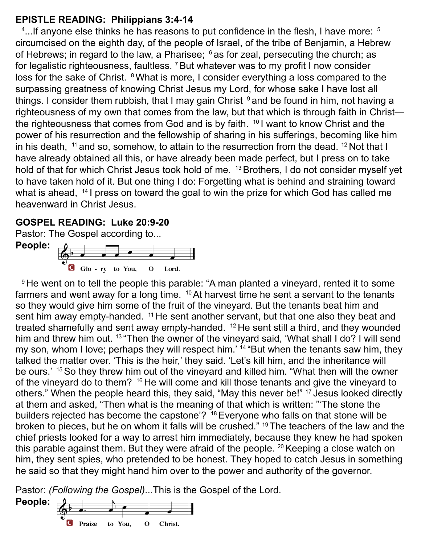## **EPISTLE READING: Philippians 3:4-14**

 $^{\rm 4}$ ...If anyone else thinks he has reasons to put confidence in the flesh, I have more:  $^{\rm 5}$ circumcised on the eighth day, of the people of Israel, of the tribe of Benjamin, a Hebrew of Hebrews; in regard to the law, a Pharisee;  $6$  as for zeal, persecuting the church; as for legalistic righteousness, faultless.<sup>7</sup> But whatever was to my profit I now consider loss for the sake of Christ. <sup>8</sup> What is more, I consider everything a loss compared to the surpassing greatness of knowing Christ Jesus my Lord, for whose sake I have lost all things. I consider them rubbish, that I may gain Christ  $9$  and be found in him, not having a righteousness of my own that comes from the law, but that which is through faith in Christ the righteousness that comes from God and is by faith. <sup>10</sup> I want to know Christ and the power of his resurrection and the fellowship of sharing in his sufferings, becoming like him in his death,  $11$  and so, somehow, to attain to the resurrection from the dead.  $12$  Not that I have already obtained all this, or have already been made perfect, but I press on to take hold of that for which Christ Jesus took hold of me. <sup>13</sup> Brothers, I do not consider myself yet to have taken hold of it. But one thing I do: Forgetting what is behind and straining toward what is ahead, <sup>14</sup> I press on toward the goal to win the prize for which God has called me heavenward in Christ Jesus.

## **GOSPEL READING: Luke 20:9-20**

Pastor: The Gospel according to...



<sup>9</sup> He went on to tell the people this parable: "A man planted a vineyard, rented it to some farmers and went away for a long time.  $10$  At harvest time he sent a servant to the tenants so they would give him some of the fruit of the vineyard. But the tenants beat him and sent him away empty-handed. <sup>11</sup> He sent another servant, but that one also they beat and treated shamefully and sent away empty-handed. <sup>12</sup> He sent still a third, and they wounded him and threw him out. <sup>13</sup> "Then the owner of the vineyard said, 'What shall I do? I will send my son, whom I love; perhaps they will respect him.<sup> $14$ </sup> "But when the tenants saw him, they talked the matter over. 'This is the heir,' they said. 'Let's kill him, and the inheritance will be ours.' <sup>15</sup> So they threw him out of the vineyard and killed him. "What then will the owner of the vineyard do to them? <sup>16</sup> He will come and kill those tenants and give the vineyard to others." When the people heard this, they said, "May this never be!" 17 Jesus looked directly at them and asked, "Then what is the meaning of that which is written: "'The stone the builders rejected has become the capstone'? <sup>18</sup> Everyone who falls on that stone will be broken to pieces, but he on whom it falls will be crushed." 19 The teachers of the law and the chief priests looked for a way to arrest him immediately, because they knew he had spoken this parable against them. But they were afraid of the people. <sup>20</sup> Keeping a close watch on him, they sent spies, who pretended to be honest. They hoped to catch Jesus in something he said so that they might hand him over to the power and authority of the governor.

Pastor: *(Following the Gospel)*...This is the Gospel of the Lord.

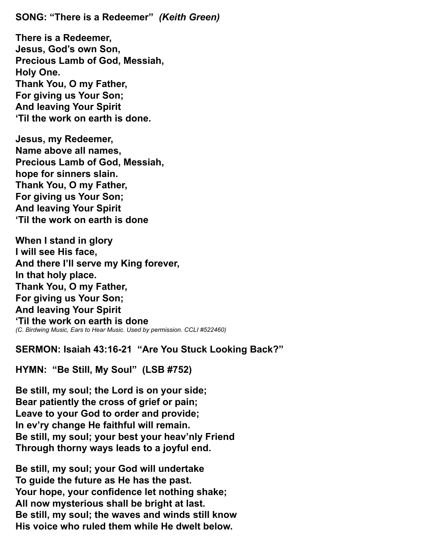**SONG: "There is a Redeemer"** *(Keith Green)*

**There is a Redeemer, Jesus, God's own Son, Precious Lamb of God, Messiah, Holy One. Thank You, O my Father, For giving us Your Son; And leaving Your Spirit 'Til the work on earth is done.**

**Jesus, my Redeemer, Name above all names, Precious Lamb of God, Messiah, hope for sinners slain. Thank You, O my Father, For giving us Your Son; And leaving Your Spirit 'Til the work on earth is done**

**When I stand in glory I will see His face, And there I'll serve my King forever, In that holy place. Thank You, O my Father, For giving us Your Son; And leaving Your Spirit 'Til the work on earth is done** *(C. Birdwing Music, Ears to Hear Music. Used by permission. CCLI #522460)*

#### **SERMON: Isaiah 43:16-21 "Are You Stuck Looking Back?"**

**HYMN: "Be Still, My Soul" (LSB #752)**

**Be still, my soul; the Lord is on your side; Bear patiently the cross of grief or pain; Leave to your God to order and provide; In ev'ry change He faithful will remain. Be still, my soul; your best your heav'nly Friend Through thorny ways leads to a joyful end.**

**Be still, my soul; your God will undertake To guide the future as He has the past. Your hope, your confidence let nothing shake; All now mysterious shall be bright at last. Be still, my soul; the waves and winds still know His voice who ruled them while He dwelt below.**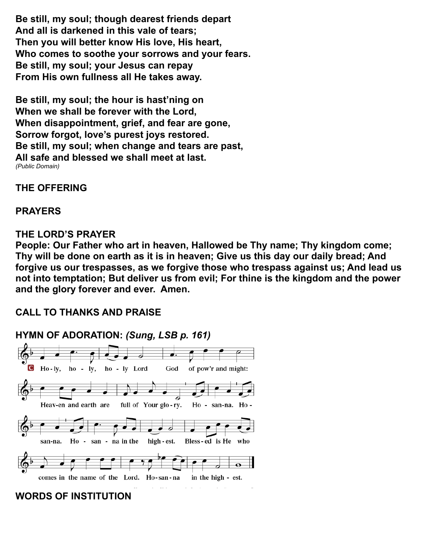**Be still, my soul; though dearest friends depart And all is darkened in this vale of tears; Then you will better know His love, His heart, Who comes to soothe your sorrows and your fears. Be still, my soul; your Jesus can repay From His own fullness all He takes away.**

**Be still, my soul; the hour is hast'ning on When we shall be forever with the Lord, When disappointment, grief, and fear are gone, Sorrow forgot, love's purest joys restored. Be still, my soul; when change and tears are past, All safe and blessed we shall meet at last.** *(Public Domain)*

#### **THE OFFERING**

#### **PRAYERS**

#### **THE LORD'S PRAYER**

**People: Our Father who art in heaven, Hallowed be Thy name; Thy kingdom come; Thy will be done on earth as it is in heaven; Give us this day our daily bread; And forgive us our trespasses, as we forgive those who trespass against us; And lead us not into temptation; But deliver us from evil; For thine is the kingdom and the power and the glory forever and ever. Amen.** 

## **CALL TO THANKS AND PRAISE**



**HYMN OF ADORATION:** *(Sung, LSB p. 161)*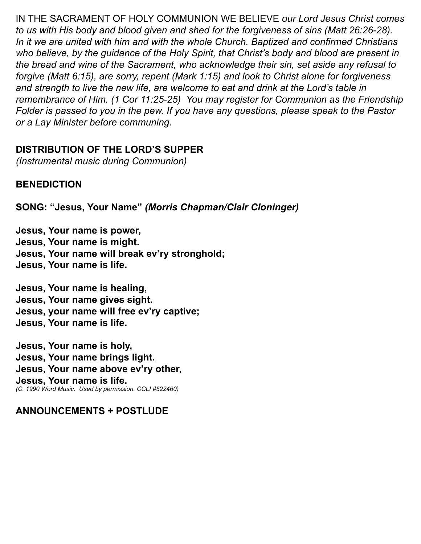IN THE SACRAMENT OF HOLY COMMUNION WE BELIEVE *our Lord Jesus Christ comes to us with His body and blood given and shed for the forgiveness of sins (Matt 26:26-28). In it we are united with him and with the whole Church. Baptized and confirmed Christians who believe, by the guidance of the Holy Spirit, that Christ's body and blood are present in the bread and wine of the Sacrament, who acknowledge their sin, set aside any refusal to forgive (Matt 6:15), are sorry, repent (Mark 1:15) and look to Christ alone for forgiveness and strength to live the new life, are welcome to eat and drink at the Lord's table in remembrance of Him. (1 Cor 11:25-25) You may register for Communion as the Friendship Folder is passed to you in the pew. If you have any questions, please speak to the Pastor or a Lay Minister before communing.*

## **DISTRIBUTION OF THE LORD'S SUPPER**

*(Instrumental music during Communion)*

## **BENEDICTION**

**SONG: "Jesus, Your Name"** *(Morris Chapman/Clair Cloninger)*

**Jesus, Your name is power, Jesus, Your name is might. Jesus, Your name will break ev'ry stronghold; Jesus, Your name is life.**

**Jesus, Your name is healing, Jesus, Your name gives sight. Jesus, your name will free ev'ry captive; Jesus, Your name is life.**

**Jesus, Your name is holy, Jesus, Your name brings light. Jesus, Your name above ev'ry other, Jesus, Your name is life.** *(C. 1990 Word Music. Used by permission. CCLI #522460)*

## **ANNOUNCEMENTS + POSTLUDE**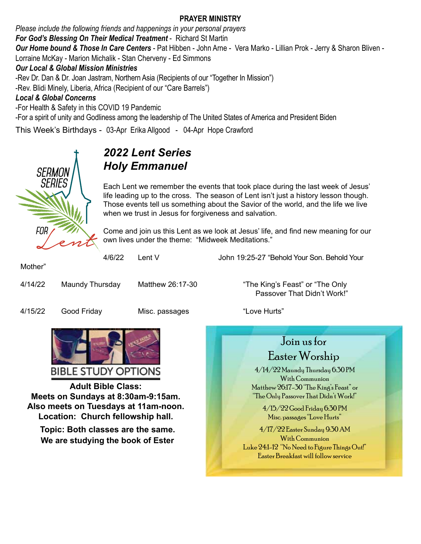#### **PRAYER MINISTRY**

*Please include the following friends and happenings in your personal prayers*

*For God's Blessing On Their Medical Treatment* - Richard St Martin

*Our Home bound & Those In Care Centers* - Pat Hibben - John Arne - Vera Marko - Lillian Prok - Jerry & Sharon Bliven - Lorraine McKay - Marion Michalik - Stan Cherveny - Ed Simmons

#### *Our Local & Global Mission Ministries*

-Rev Dr. Dan & Dr. Joan Jastram, Northern Asia (Recipients of our "Together In Mission")

-Rev. Blidi Minely, Liberia, Africa (Recipient of our "Care Barrels")

#### *Local & Global Concerns*

-For Health & Safety in this COVID 19 Pandemic

-For a spirit of unity and Godliness among the leadership of The United States of America and President Biden

This Week's Birthdays - 03-Apr Erika Allgood - 04-Apr Hope Crawford



# *2022 Lent Series Holy Emmanuel*

Each Lent we remember the events that took place during the last week of Jesus' life leading up to the cross. The season of Lent isn't just a history lesson though. Those events tell us something about the Savior of the world, and the life we live when we trust in Jesus for forgiveness and salvation.

Come and join us this Lent as we look at Jesus' life, and find new meaning for our own lives under the theme: "Midweek Meditations."

| Mother" | 4/6/22          | ∟ent V           | John 19:25-27 "Behold Your Son. Behold Your                     |
|---------|-----------------|------------------|-----------------------------------------------------------------|
| 4/14/22 | Maundy Thursday | Matthew 26:17-30 | "The King's Feast" or "The Only"<br>Passover That Didn't Work!" |
| 4/15/22 | Good Friday     | Misc. passages   | "Love Hurts"                                                    |

# Join us for Easter Worship

4/14/22 Maundy Thursday 6:30 PM With Communion Matthew 26:17-30 "The King's Feast" or "The Only Passover That Didn't Work!"

> 4/15/22 Good Friday 6:30 PM Misc. passages "Love Hurts"

4/17/22 Easter Sunday 9:30 AM With Communion Luke 24:1-12 "No Need to Figure Things Out!" Easter Breakfast will follow service

**Adult Bible Class: Meets on Sundays at 8:30am-9:15am. Meets on Sundays at 8:30am-9:15am. Also meets on Tuesdays at 11am-noon. Also meets on Tuesdays at 11am-noon. Location: Church fellowship hall. Location: Church fellowship hall. Adult Bible Class: Adult Bible Class:**<br> **Adult Bible Class: Meets on Tuesuays at Fiam-Noon.**<br>Leoction - Church followskin hell **Also meets on Tuesdays at 11am-noon. Also meets on Tuesdays at 11am-noon. Meets on Sundays at 8:30am-9:15am.** 

**BIBLE STUDY OPTIONS** 

Topic: Both classes are the same. 4/17/22 Easter Sunday 9.30 AM We are studying the book of Ester **The Contract of the State of The Contract of The Contract of The Contract of The Contract of The Contract of The Contract of The Contract of The Contract of The Contract of The Contract o**